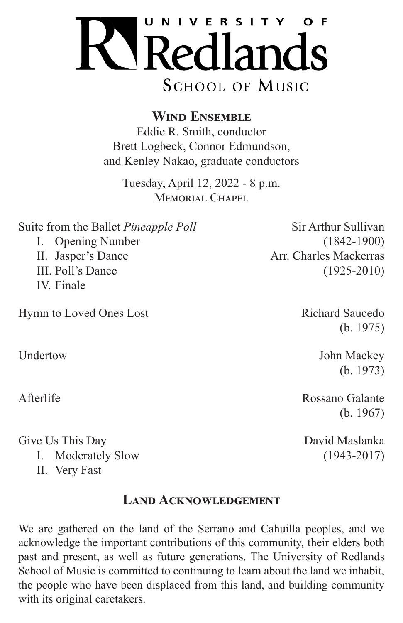

**Wind Ensemble**

Eddie R. Smith, conductor Brett Logbeck, Connor Edmundson, and Kenley Nakao, graduate conductors

Tuesday, April 12, 2022 - 8 p.m. MEMORIAL CHAPEL

Suite from the Ballet *Pineapple Poll* Sir Arthur Sullivan I. Opening Number (1842-1900) II. Jasper's Dance Arr. Charles Mackerras III. Poll's Dance (1925-2010) IV. Finale

Hymn to Loved Ones Lost Richard Saucedo

Give Us This Day David Maslanka

I. Moderately Slow (1943-2017)

II. Very Fast

### **Land Acknowledgement**

We are gathered on the land of the Serrano and Cahuilla peoples, and we acknowledge the important contributions of this community, their elders both past and present, as well as future generations. The University of Redlands School of Music is committed to continuing to learn about the land we inhabit, the people who have been displaced from this land, and building community with its original caretakers.

(b. 1975)

Undertow John Mackey (b. 1973)

Afterlife Rossano Galante (b. 1967)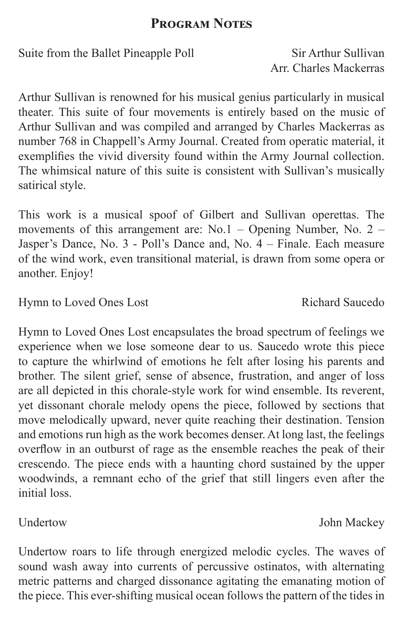## **Program Notes**

Suite from the Ballet Pineapple Poll Sir Arthur Sullivan

Arr. Charles Mackerras

Arthur Sullivan is renowned for his musical genius particularly in musical theater. This suite of four movements is entirely based on the music of Arthur Sullivan and was compiled and arranged by Charles Mackerras as number 768 in Chappell's Army Journal. Created from operatic material, it exemplifies the vivid diversity found within the Army Journal collection. The whimsical nature of this suite is consistent with Sullivan's musically satirical style.

This work is a musical spoof of Gilbert and Sullivan operettas. The movements of this arrangement are: No.1 – Opening Number, No. 2 – Jasper's Dance, No. 3 - Poll's Dance and, No. 4 – Finale. Each measure of the wind work, even transitional material, is drawn from some opera or another. Enjoy!

Hymn to Loved Ones Lost Richard Saucedo

Hymn to Loved Ones Lost encapsulates the broad spectrum of feelings we experience when we lose someone dear to us. Saucedo wrote this piece to capture the whirlwind of emotions he felt after losing his parents and brother. The silent grief, sense of absence, frustration, and anger of loss are all depicted in this chorale-style work for wind ensemble. Its reverent, yet dissonant chorale melody opens the piece, followed by sections that move melodically upward, never quite reaching their destination. Tension and emotions run high as the work becomes denser. At long last, the feelings overflow in an outburst of rage as the ensemble reaches the peak of their crescendo. The piece ends with a haunting chord sustained by the upper woodwinds, a remnant echo of the grief that still lingers even after the initial loss.

Undertow roars to life through energized melodic cycles. The waves of sound wash away into currents of percussive ostinatos, with alternating metric patterns and charged dissonance agitating the emanating motion of the piece. This ever-shifting musical ocean follows the pattern of the tides in

# Undertow John Mackey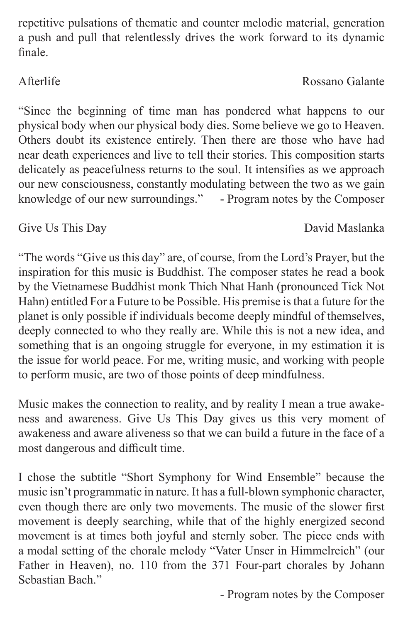repetitive pulsations of thematic and counter melodic material, generation a push and pull that relentlessly drives the work forward to its dynamic finale.

"Since the beginning of time man has pondered what happens to our physical body when our physical body dies. Some believe we go to Heaven. Others doubt its existence entirely. Then there are those who have had near death experiences and live to tell their stories. This composition starts delicately as peacefulness returns to the soul. It intensifies as we approach our new consciousness, constantly modulating between the two as we gain knowledge of our new surroundings." - Program notes by the Composer

# Give Us This Day David Maslanka

"The words "Give us this day" are, of course, from the Lord's Prayer, but the inspiration for this music is Buddhist. The composer states he read a book by the Vietnamese Buddhist monk Thich Nhat Hanh (pronounced Tick Not Hahn) entitled For a Future to be Possible. His premise is that a future for the planet is only possible if individuals become deeply mindful of themselves, deeply connected to who they really are. While this is not a new idea, and something that is an ongoing struggle for everyone, in my estimation it is the issue for world peace. For me, writing music, and working with people to perform music, are two of those points of deep mindfulness.

Music makes the connection to reality, and by reality I mean a true awakeness and awareness. Give Us This Day gives us this very moment of awakeness and aware aliveness so that we can build a future in the face of a most dangerous and difficult time.

I chose the subtitle "Short Symphony for Wind Ensemble" because the music isn't programmatic in nature. It has a full-blown symphonic character, even though there are only two movements. The music of the slower first movement is deeply searching, while that of the highly energized second movement is at times both joyful and sternly sober. The piece ends with a modal setting of the chorale melody "Vater Unser in Himmelreich" (our Father in Heaven), no. 110 from the 371 Four-part chorales by Johann Sebastian Bach."

- Program notes by the Composer

# Afterlife Rossano Galante